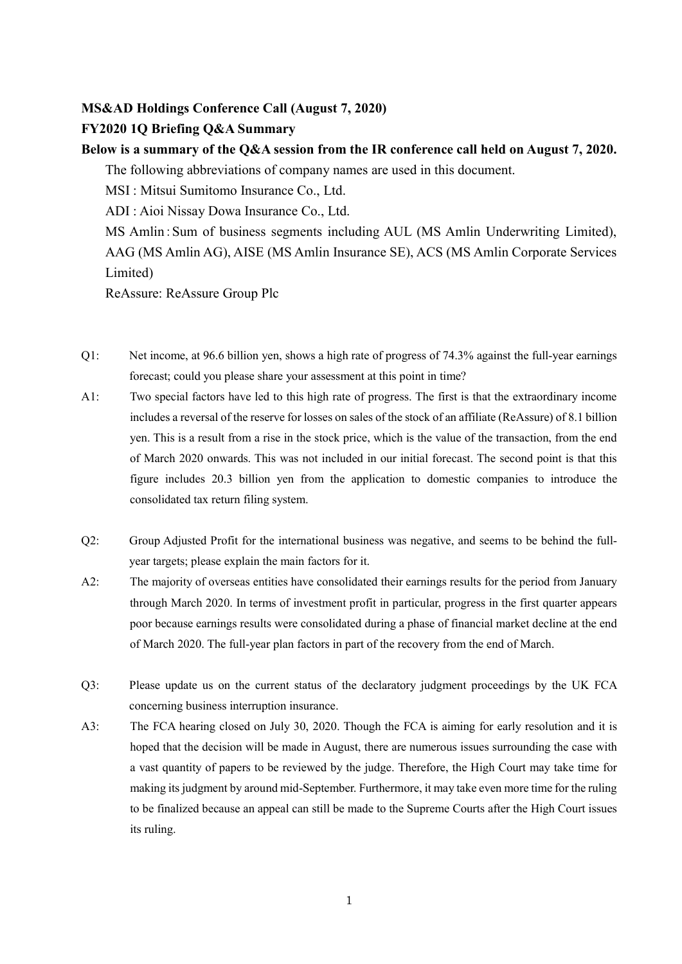## **MS&AD Holdings Conference Call (August 7, 2020)**

## **FY2020 1Q Briefing Q&A Summary**

| Below is a summary of the Q&A session from the IR conference call held on August 7, 2020. |                                                                                   |
|-------------------------------------------------------------------------------------------|-----------------------------------------------------------------------------------|
|                                                                                           | The following abbreviations of company names are used in this document.           |
|                                                                                           | MSI: Mitsui Sumitomo Insurance Co., Ltd.                                          |
|                                                                                           | ADI : Aioi Nissay Dowa Insurance Co., Ltd.                                        |
|                                                                                           | MS Amlin: Sum of business segments including AUL (MS Amlin Underwriting Limited), |
|                                                                                           | AAG (MS Amlin AG), AISE (MS Amlin Insurance SE), ACS (MS Amlin Corporate Services |
|                                                                                           | Limited)                                                                          |
|                                                                                           | ReAssure: ReAssure Group Plc                                                      |

- Q1: Net income, at 96.6 billion yen, shows a high rate of progress of 74.3% against the full-year earnings forecast; could you please share your assessment at this point in time?
- A1: Two special factors have led to this high rate of progress. The first is that the extraordinary income includes a reversal of the reserve for losses on sales of the stock of an affiliate (ReAssure) of 8.1 billion yen. This is a result from a rise in the stock price, which is the value of the transaction, from the end of March 2020 onwards. This was not included in our initial forecast. The second point is that this figure includes 20.3 billion yen from the application to domestic companies to introduce the consolidated tax return filing system.
- Q2: Group Adjusted Profit for the international business was negative, and seems to be behind the fullyear targets; please explain the main factors for it.
- A2: The majority of overseas entities have consolidated their earnings results for the period from January through March 2020. In terms of investment profit in particular, progress in the first quarter appears poor because earnings results were consolidated during a phase of financial market decline at the end of March 2020. The full-year plan factors in part of the recovery from the end of March.
- Q3: Please update us on the current status of the declaratory judgment proceedings by the UK FCA concerning business interruption insurance.
- A3: The FCA hearing closed on July 30, 2020. Though the FCA is aiming for early resolution and it is hoped that the decision will be made in August, there are numerous issues surrounding the case with a vast quantity of papers to be reviewed by the judge. Therefore, the High Court may take time for making its judgment by around mid-September. Furthermore, it may take even more time for the ruling to be finalized because an appeal can still be made to the Supreme Courts after the High Court issues its ruling.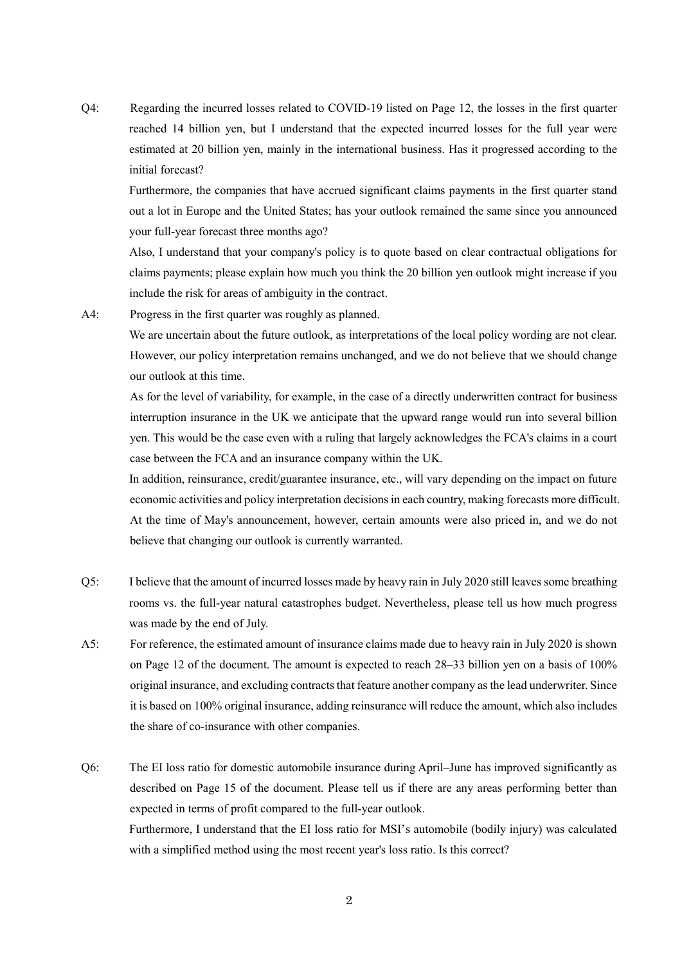Q4: Regarding the incurred losses related to COVID-19 listed on Page 12, the losses in the first quarter reached 14 billion yen, but I understand that the expected incurred losses for the full year were estimated at 20 billion yen, mainly in the international business. Has it progressed according to the initial forecast?

Furthermore, the companies that have accrued significant claims payments in the first quarter stand out a lot in Europe and the United States; has your outlook remained the same since you announced your full-year forecast three months ago?

Also, I understand that your company's policy is to quote based on clear contractual obligations for claims payments; please explain how much you think the 20 billion yen outlook might increase if you include the risk for areas of ambiguity in the contract.

A4: Progress in the first quarter was roughly as planned.

We are uncertain about the future outlook, as interpretations of the local policy wording are not clear. However, our policy interpretation remains unchanged, and we do not believe that we should change our outlook at this time.

As for the level of variability, for example, in the case of a directly underwritten contract for business interruption insurance in the UK we anticipate that the upward range would run into several billion yen. This would be the case even with a ruling that largely acknowledges the FCA's claims in a court case between the FCA and an insurance company within the UK.

In addition, reinsurance, credit/guarantee insurance, etc., will vary depending on the impact on future economic activities and policy interpretation decisions in each country, making forecasts more difficult. At the time of May's announcement, however, certain amounts were also priced in, and we do not believe that changing our outlook is currently warranted.

- Q5: I believe that the amount of incurred losses made by heavy rain in July 2020 still leaves some breathing rooms vs. the full-year natural catastrophes budget. Nevertheless, please tell us how much progress was made by the end of July.
- A5: For reference, the estimated amount of insurance claims made due to heavy rain in July 2020 is shown on Page 12 of the document. The amount is expected to reach 28–33 billion yen on a basis of 100% original insurance, and excluding contracts that feature another company as the lead underwriter. Since it is based on 100% original insurance, adding reinsurance will reduce the amount, which also includes the share of co-insurance with other companies.
- Q6: The EI loss ratio for domestic automobile insurance during April–June has improved significantly as described on Page 15 of the document. Please tell us if there are any areas performing better than expected in terms of profit compared to the full-year outlook. Furthermore, I understand that the EI loss ratio for MSI's automobile (bodily injury) was calculated with a simplified method using the most recent year's loss ratio. Is this correct?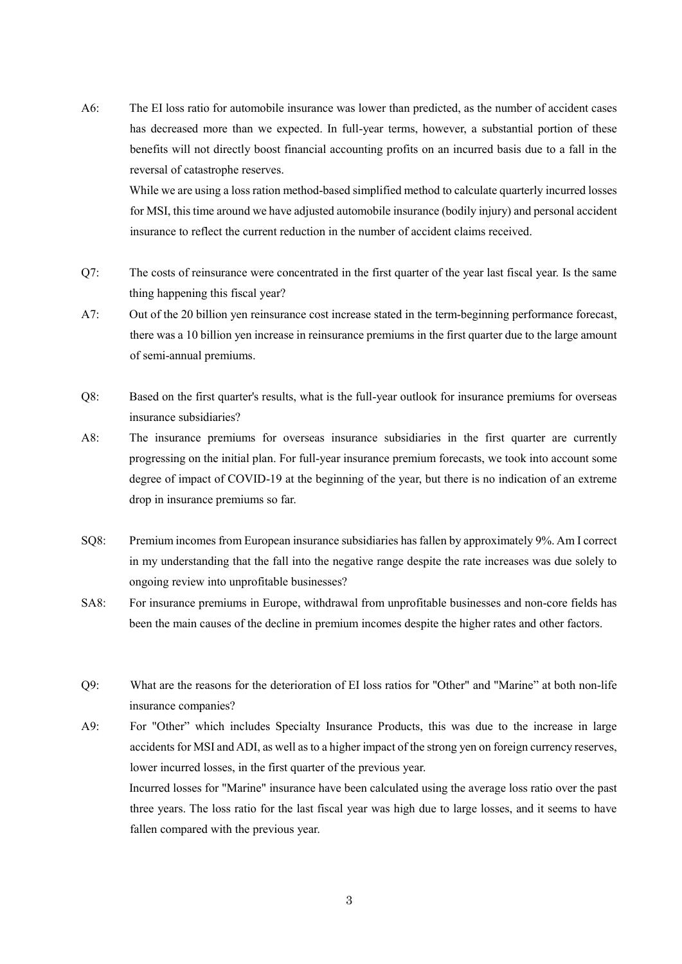A6: The EI loss ratio for automobile insurance was lower than predicted, as the number of accident cases has decreased more than we expected. In full-year terms, however, a substantial portion of these benefits will not directly boost financial accounting profits on an incurred basis due to a fall in the reversal of catastrophe reserves.

While we are using a loss ration method-based simplified method to calculate quarterly incurred losses for MSI, this time around we have adjusted automobile insurance (bodily injury) and personal accident insurance to reflect the current reduction in the number of accident claims received.

- Q7: The costs of reinsurance were concentrated in the first quarter of the year last fiscal year. Is the same thing happening this fiscal year?
- A7: Out of the 20 billion yen reinsurance cost increase stated in the term-beginning performance forecast, there was a 10 billion yen increase in reinsurance premiums in the first quarter due to the large amount of semi-annual premiums.
- Q8: Based on the first quarter's results, what is the full-year outlook for insurance premiums for overseas insurance subsidiaries?
- A8: The insurance premiums for overseas insurance subsidiaries in the first quarter are currently progressing on the initial plan. For full-year insurance premium forecasts, we took into account some degree of impact of COVID-19 at the beginning of the year, but there is no indication of an extreme drop in insurance premiums so far.
- SQ8: Premium incomes from European insurance subsidiaries has fallen by approximately 9%. Am I correct in my understanding that the fall into the negative range despite the rate increases was due solely to ongoing review into unprofitable businesses?
- SA8: For insurance premiums in Europe, withdrawal from unprofitable businesses and non-core fields has been the main causes of the decline in premium incomes despite the higher rates and other factors.
- Q9: What are the reasons for the deterioration of EI loss ratios for "Other" and "Marine" at both non-life insurance companies?
- A9: For "Other" which includes Specialty Insurance Products, this was due to the increase in large accidents for MSI and ADI, as well as to a higher impact of the strong yen on foreign currency reserves, lower incurred losses, in the first quarter of the previous year. Incurred losses for "Marine" insurance have been calculated using the average loss ratio over the past three years. The loss ratio for the last fiscal year was high due to large losses, and it seems to have fallen compared with the previous year.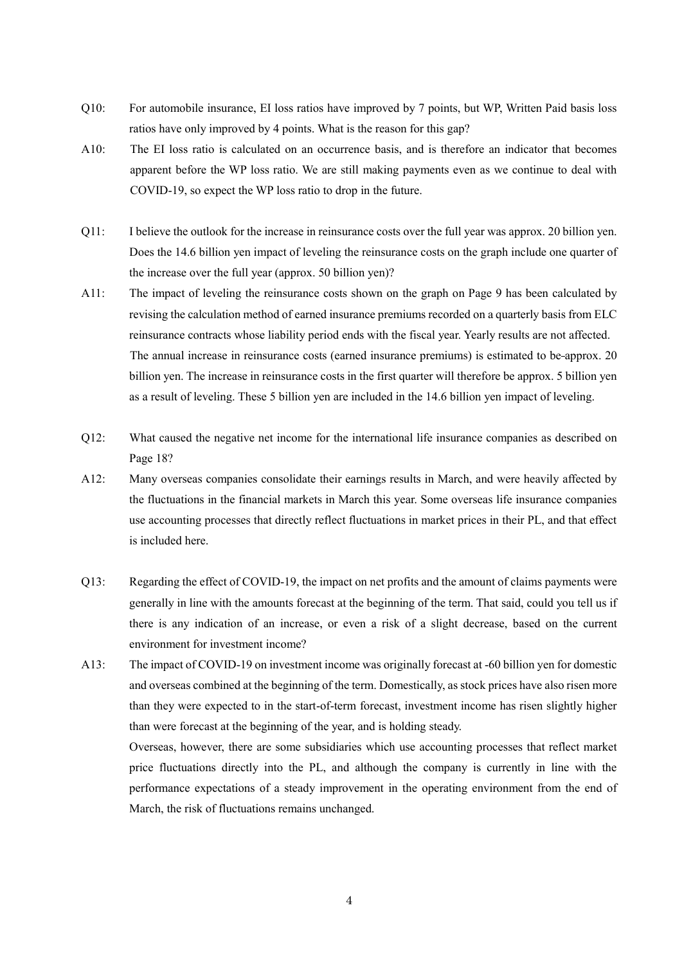- Q10: For automobile insurance, EI loss ratios have improved by 7 points, but WP, Written Paid basis loss ratios have only improved by 4 points. What is the reason for this gap?
- A10: The EI loss ratio is calculated on an occurrence basis, and is therefore an indicator that becomes apparent before the WP loss ratio. We are still making payments even as we continue to deal with COVID-19, so expect the WP loss ratio to drop in the future.
- Q11: I believe the outlook for the increase in reinsurance costs over the full year was approx. 20 billion yen. Does the 14.6 billion yen impact of leveling the reinsurance costs on the graph include one quarter of the increase over the full year (approx. 50 billion yen)?
- A11: The impact of leveling the reinsurance costs shown on the graph on Page 9 has been calculated by revising the calculation method of earned insurance premiums recorded on a quarterly basis from ELC reinsurance contracts whose liability period ends with the fiscal year. Yearly results are not affected. The annual increase in reinsurance costs (earned insurance premiums) is estimated to be approx. 20 billion yen. The increase in reinsurance costs in the first quarter will therefore be approx. 5 billion yen as a result of leveling. These 5 billion yen are included in the 14.6 billion yen impact of leveling.
- Q12: What caused the negative net income for the international life insurance companies as described on Page 18?
- A12: Many overseas companies consolidate their earnings results in March, and were heavily affected by the fluctuations in the financial markets in March this year. Some overseas life insurance companies use accounting processes that directly reflect fluctuations in market prices in their PL, and that effect is included here.
- Q13: Regarding the effect of COVID-19, the impact on net profits and the amount of claims payments were generally in line with the amounts forecast at the beginning of the term. That said, could you tell us if there is any indication of an increase, or even a risk of a slight decrease, based on the current environment for investment income?
- A13: The impact of COVID-19 on investment income was originally forecast at -60 billion yen for domestic and overseas combined at the beginning of the term. Domestically, as stock prices have also risen more than they were expected to in the start-of-term forecast, investment income has risen slightly higher than were forecast at the beginning of the year, and is holding steady.

Overseas, however, there are some subsidiaries which use accounting processes that reflect market price fluctuations directly into the PL, and although the company is currently in line with the performance expectations of a steady improvement in the operating environment from the end of March, the risk of fluctuations remains unchanged.